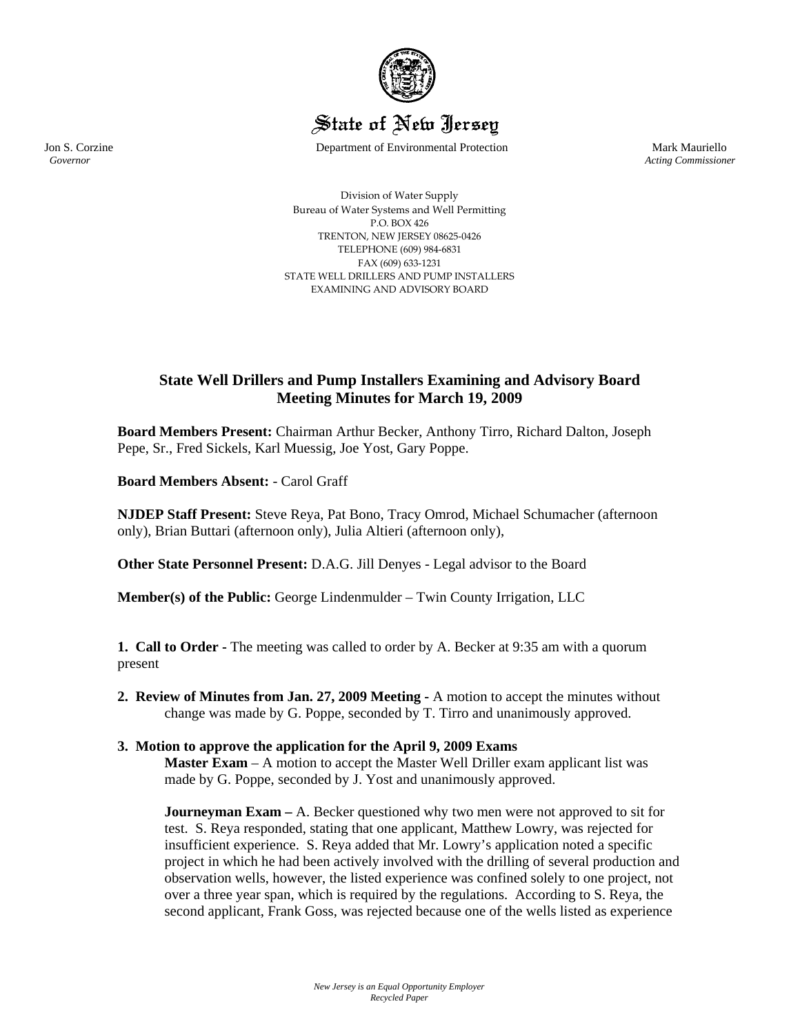

# State of New Jersey

Jon S. Corzine Department of Environmental Protection Mark Mauriello

 *Governor Acting Commissioner*

Division of Water Supply Bureau of Water Systems and Well Permitting P.O. BOX 426 TRENTON, NEW JERSEY 08625‐0426 TELEPHONE (609) 984‐6831 FAX (609) 633‐1231 STATE WELL DRILLERS AND PUMP INSTALLERS EXAMINING AND ADVISORY BOARD

# **State Well Drillers and Pump Installers Examining and Advisory Board Meeting Minutes for March 19, 2009**

**Board Members Present:** Chairman Arthur Becker, Anthony Tirro, Richard Dalton, Joseph Pepe, Sr., Fred Sickels, Karl Muessig, Joe Yost, Gary Poppe.

**Board Members Absent:** - Carol Graff

**NJDEP Staff Present:** Steve Reya, Pat Bono, Tracy Omrod, Michael Schumacher (afternoon only), Brian Buttari (afternoon only), Julia Altieri (afternoon only),

**Other State Personnel Present:** D.A.G. Jill Denyes - Legal advisor to the Board

**Member(s) of the Public:** George Lindenmulder – Twin County Irrigation, LLC

**1. Call to Order -** The meeting was called to order by A. Becker at 9:35 am with a quorum present

**2. Review of Minutes from Jan. 27, 2009 Meeting -** A motion to accept the minutes without change was made by G. Poppe, seconded by T. Tirro and unanimously approved.

# **3. Motion to approve the application for the April 9, 2009 Exams**

**Master Exam** – A motion to accept the Master Well Driller exam applicant list was made by G. Poppe, seconded by J. Yost and unanimously approved.

**Journeyman Exam** – A. Becker questioned why two men were not approved to sit for test. S. Reya responded, stating that one applicant, Matthew Lowry, was rejected for insufficient experience. S. Reya added that Mr. Lowry's application noted a specific project in which he had been actively involved with the drilling of several production and observation wells, however, the listed experience was confined solely to one project, not over a three year span, which is required by the regulations. According to S. Reya, the second applicant, Frank Goss, was rejected because one of the wells listed as experience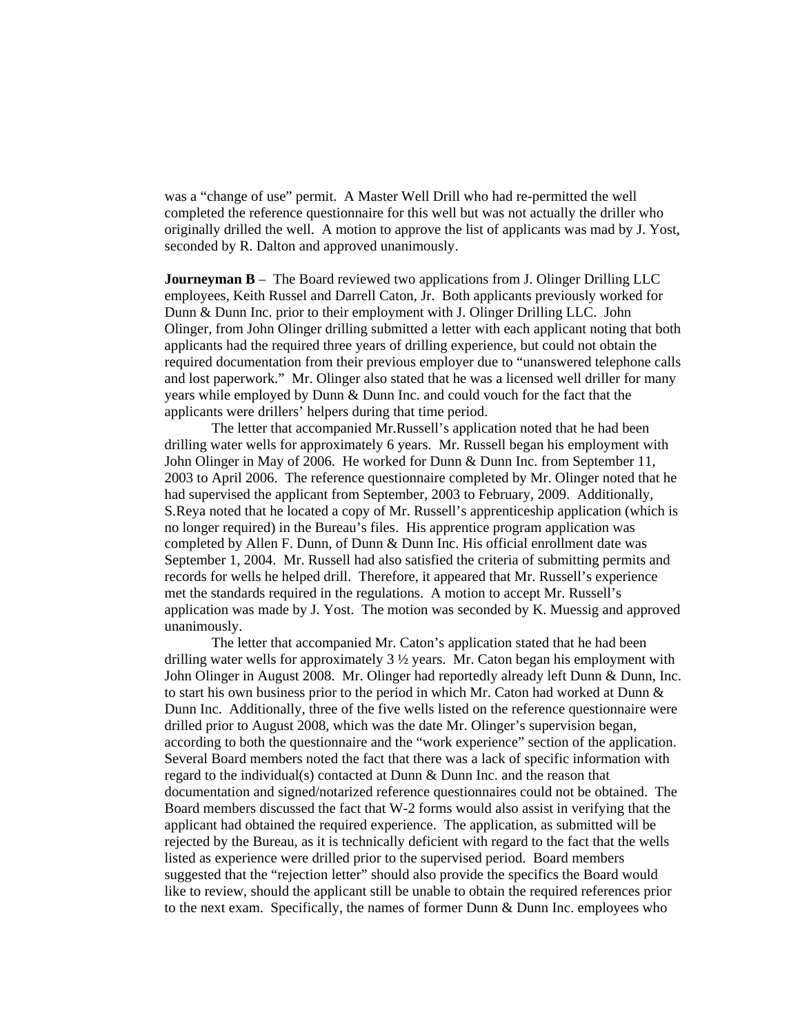was a "change of use" permit. A Master Well Drill who had re-permitted the well completed the reference questionnaire for this well but was not actually the driller who originally drilled the well. A motion to approve the list of applicants was mad by J. Yost, seconded by R. Dalton and approved unanimously.

**Journeyman B** – The Board reviewed two applications from J. Olinger Drilling LLC employees, Keith Russel and Darrell Caton, Jr. Both applicants previously worked for Dunn & Dunn Inc. prior to their employment with J. Olinger Drilling LLC. John Olinger, from John Olinger drilling submitted a letter with each applicant noting that both applicants had the required three years of drilling experience, but could not obtain the required documentation from their previous employer due to "unanswered telephone calls and lost paperwork." Mr. Olinger also stated that he was a licensed well driller for many years while employed by Dunn & Dunn Inc. and could vouch for the fact that the applicants were drillers' helpers during that time period.

The letter that accompanied Mr.Russell's application noted that he had been drilling water wells for approximately 6 years. Mr. Russell began his employment with John Olinger in May of 2006. He worked for Dunn & Dunn Inc. from September 11, 2003 to April 2006. The reference questionnaire completed by Mr. Olinger noted that he had supervised the applicant from September, 2003 to February, 2009. Additionally, S.Reya noted that he located a copy of Mr. Russell's apprenticeship application (which is no longer required) in the Bureau's files. His apprentice program application was completed by Allen F. Dunn, of Dunn & Dunn Inc. His official enrollment date was September 1, 2004. Mr. Russell had also satisfied the criteria of submitting permits and records for wells he helped drill. Therefore, it appeared that Mr. Russell's experience met the standards required in the regulations. A motion to accept Mr. Russell's application was made by J. Yost. The motion was seconded by K. Muessig and approved unanimously.

 The letter that accompanied Mr. Caton's application stated that he had been drilling water wells for approximately 3 ½ years. Mr. Caton began his employment with John Olinger in August 2008. Mr. Olinger had reportedly already left Dunn & Dunn, Inc. to start his own business prior to the period in which Mr. Caton had worked at Dunn & Dunn Inc. Additionally, three of the five wells listed on the reference questionnaire were drilled prior to August 2008, which was the date Mr. Olinger's supervision began, according to both the questionnaire and the "work experience" section of the application. Several Board members noted the fact that there was a lack of specific information with regard to the individual(s) contacted at Dunn & Dunn Inc. and the reason that documentation and signed/notarized reference questionnaires could not be obtained. The Board members discussed the fact that W-2 forms would also assist in verifying that the applicant had obtained the required experience. The application, as submitted will be rejected by the Bureau, as it is technically deficient with regard to the fact that the wells listed as experience were drilled prior to the supervised period. Board members suggested that the "rejection letter" should also provide the specifics the Board would like to review, should the applicant still be unable to obtain the required references prior to the next exam. Specifically, the names of former Dunn & Dunn Inc. employees who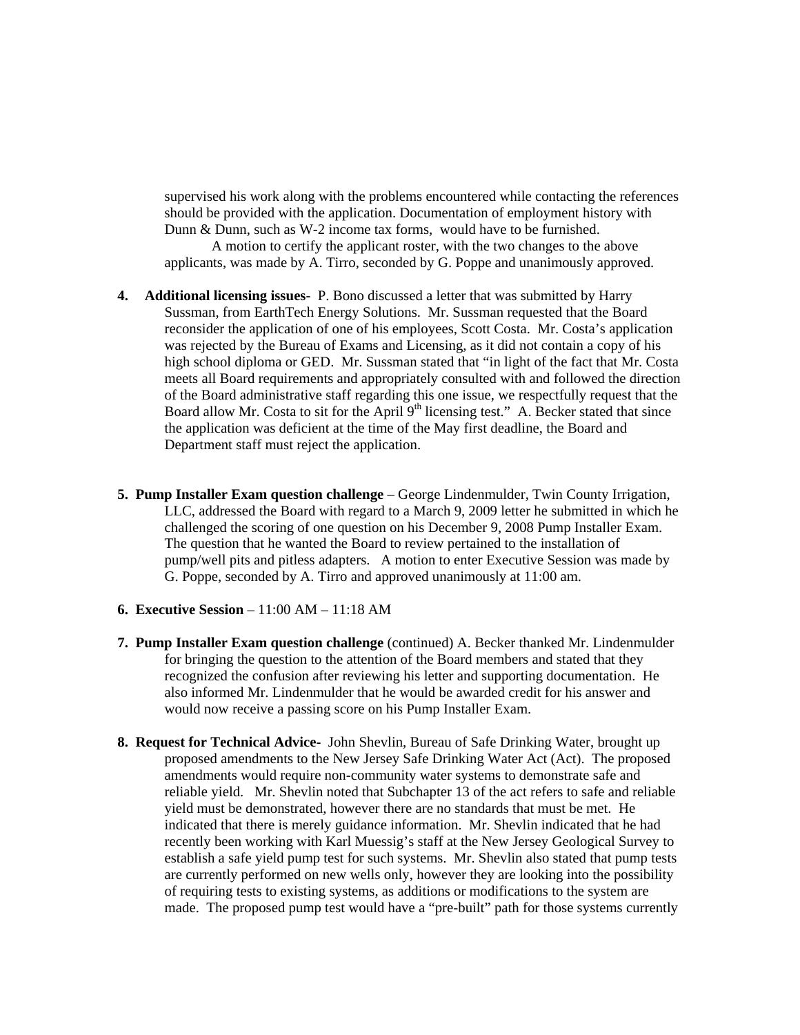supervised his work along with the problems encountered while contacting the references should be provided with the application. Documentation of employment history with Dunn & Dunn, such as W-2 income tax forms, would have to be furnished.

A motion to certify the applicant roster, with the two changes to the above applicants, was made by A. Tirro, seconded by G. Poppe and unanimously approved.

- **4. Additional licensing issues-** P. Bono discussed a letter that was submitted by Harry Sussman, from EarthTech Energy Solutions. Mr. Sussman requested that the Board reconsider the application of one of his employees, Scott Costa. Mr. Costa's application was rejected by the Bureau of Exams and Licensing, as it did not contain a copy of his high school diploma or GED. Mr. Sussman stated that "in light of the fact that Mr. Costa meets all Board requirements and appropriately consulted with and followed the direction of the Board administrative staff regarding this one issue, we respectfully request that the Board allow Mr. Costa to sit for the April  $9<sup>th</sup>$  licensing test." A. Becker stated that since the application was deficient at the time of the May first deadline, the Board and Department staff must reject the application.
- **5. Pump Installer Exam question challenge** George Lindenmulder, Twin County Irrigation, LLC, addressed the Board with regard to a March 9, 2009 letter he submitted in which he challenged the scoring of one question on his December 9, 2008 Pump Installer Exam. The question that he wanted the Board to review pertained to the installation of pump/well pits and pitless adapters. A motion to enter Executive Session was made by G. Poppe, seconded by A. Tirro and approved unanimously at 11:00 am.
- **6. Executive Session**  11:00 AM 11:18 AM
- **7. Pump Installer Exam question challenge** (continued) A. Becker thanked Mr. Lindenmulder for bringing the question to the attention of the Board members and stated that they recognized the confusion after reviewing his letter and supporting documentation. He also informed Mr. Lindenmulder that he would be awarded credit for his answer and would now receive a passing score on his Pump Installer Exam.
- **8. Request for Technical Advice-** John Shevlin, Bureau of Safe Drinking Water, brought up proposed amendments to the New Jersey Safe Drinking Water Act (Act). The proposed amendments would require non-community water systems to demonstrate safe and reliable yield. Mr. Shevlin noted that Subchapter 13 of the act refers to safe and reliable yield must be demonstrated, however there are no standards that must be met. He indicated that there is merely guidance information. Mr. Shevlin indicated that he had recently been working with Karl Muessig's staff at the New Jersey Geological Survey to establish a safe yield pump test for such systems. Mr. Shevlin also stated that pump tests are currently performed on new wells only, however they are looking into the possibility of requiring tests to existing systems, as additions or modifications to the system are made. The proposed pump test would have a "pre-built" path for those systems currently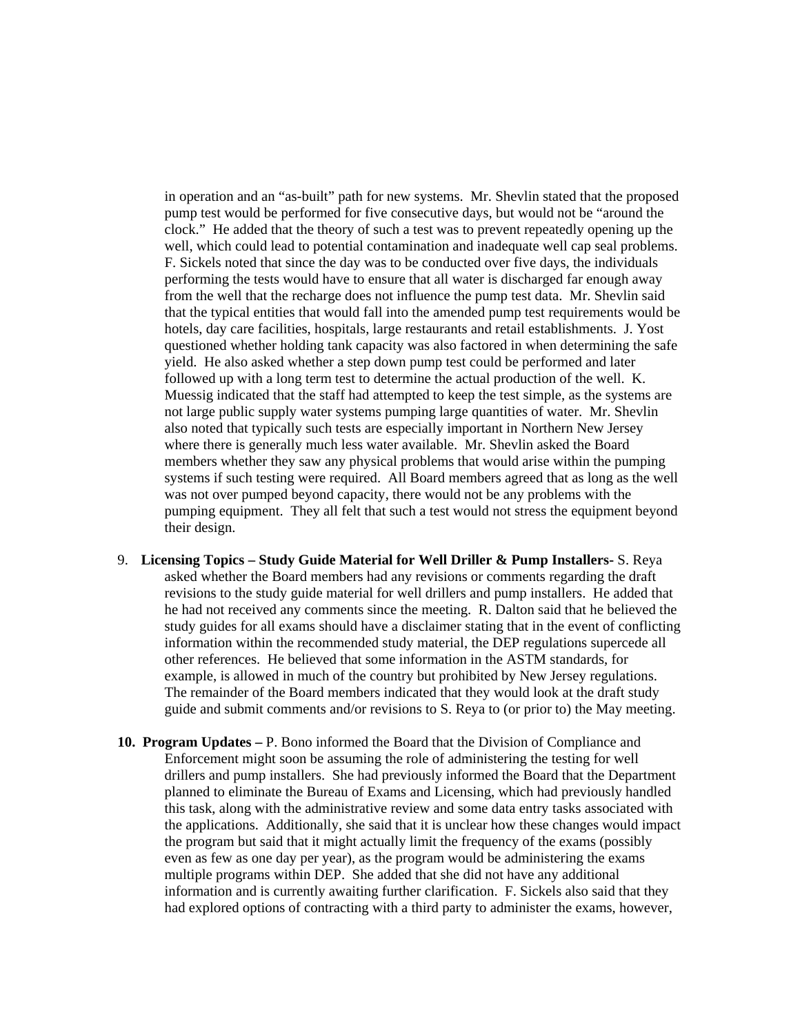in operation and an "as-built" path for new systems. Mr. Shevlin stated that the proposed pump test would be performed for five consecutive days, but would not be "around the clock." He added that the theory of such a test was to prevent repeatedly opening up the well, which could lead to potential contamination and inadequate well cap seal problems. F. Sickels noted that since the day was to be conducted over five days, the individuals performing the tests would have to ensure that all water is discharged far enough away from the well that the recharge does not influence the pump test data. Mr. Shevlin said that the typical entities that would fall into the amended pump test requirements would be hotels, day care facilities, hospitals, large restaurants and retail establishments. J. Yost questioned whether holding tank capacity was also factored in when determining the safe yield. He also asked whether a step down pump test could be performed and later followed up with a long term test to determine the actual production of the well. K. Muessig indicated that the staff had attempted to keep the test simple, as the systems are not large public supply water systems pumping large quantities of water. Mr. Shevlin also noted that typically such tests are especially important in Northern New Jersey where there is generally much less water available. Mr. Shevlin asked the Board members whether they saw any physical problems that would arise within the pumping systems if such testing were required. All Board members agreed that as long as the well was not over pumped beyond capacity, there would not be any problems with the pumping equipment. They all felt that such a test would not stress the equipment beyond their design.

- 9. **Licensing Topics Study Guide Material for Well Driller & Pump Installers-** S. Reya asked whether the Board members had any revisions or comments regarding the draft revisions to the study guide material for well drillers and pump installers. He added that he had not received any comments since the meeting. R. Dalton said that he believed the study guides for all exams should have a disclaimer stating that in the event of conflicting information within the recommended study material, the DEP regulations supercede all other references. He believed that some information in the ASTM standards, for example, is allowed in much of the country but prohibited by New Jersey regulations. The remainder of the Board members indicated that they would look at the draft study guide and submit comments and/or revisions to S. Reya to (or prior to) the May meeting.
- **10. Program Updates** P. Bono informed the Board that the Division of Compliance and Enforcement might soon be assuming the role of administering the testing for well drillers and pump installers. She had previously informed the Board that the Department planned to eliminate the Bureau of Exams and Licensing, which had previously handled this task, along with the administrative review and some data entry tasks associated with the applications. Additionally, she said that it is unclear how these changes would impact the program but said that it might actually limit the frequency of the exams (possibly even as few as one day per year), as the program would be administering the exams multiple programs within DEP. She added that she did not have any additional information and is currently awaiting further clarification. F. Sickels also said that they had explored options of contracting with a third party to administer the exams, however,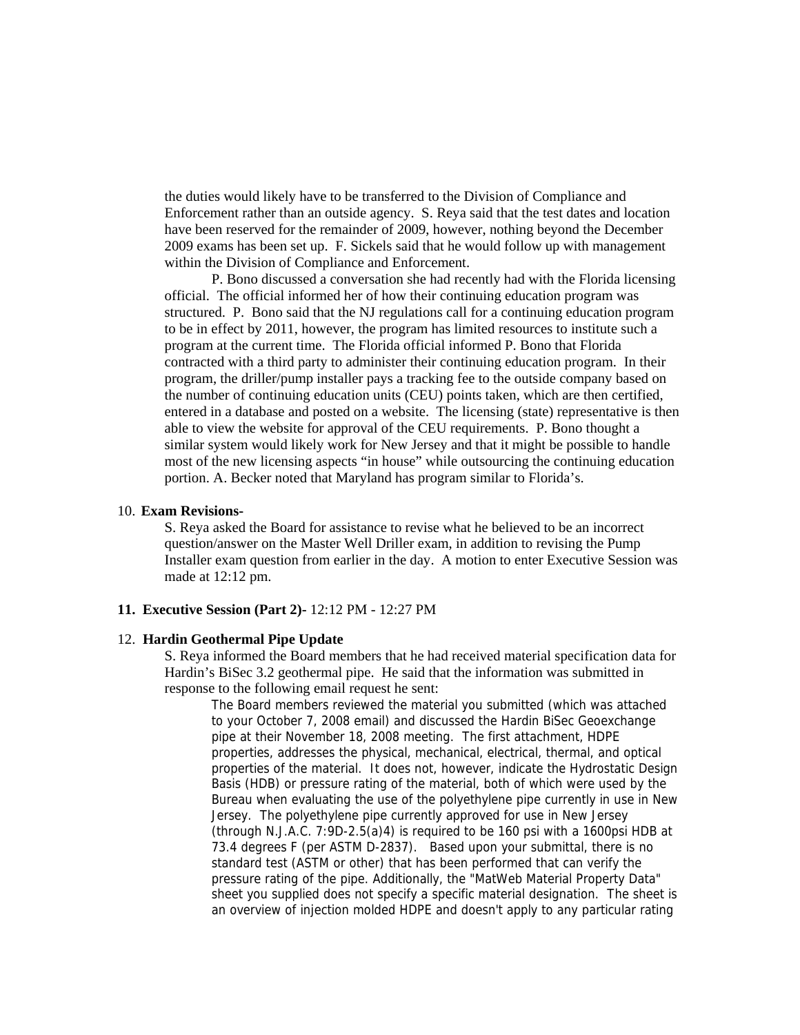the duties would likely have to be transferred to the Division of Compliance and Enforcement rather than an outside agency. S. Reya said that the test dates and location have been reserved for the remainder of 2009, however, nothing beyond the December 2009 exams has been set up. F. Sickels said that he would follow up with management within the Division of Compliance and Enforcement.

P. Bono discussed a conversation she had recently had with the Florida licensing official. The official informed her of how their continuing education program was structured. P. Bono said that the NJ regulations call for a continuing education program to be in effect by 2011, however, the program has limited resources to institute such a program at the current time. The Florida official informed P. Bono that Florida contracted with a third party to administer their continuing education program. In their program, the driller/pump installer pays a tracking fee to the outside company based on the number of continuing education units (CEU) points taken, which are then certified, entered in a database and posted on a website. The licensing (state) representative is then able to view the website for approval of the CEU requirements. P. Bono thought a similar system would likely work for New Jersey and that it might be possible to handle most of the new licensing aspects "in house" while outsourcing the continuing education portion. A. Becker noted that Maryland has program similar to Florida's.

#### 10. **Exam Revisions-**

S. Reya asked the Board for assistance to revise what he believed to be an incorrect question/answer on the Master Well Driller exam, in addition to revising the Pump Installer exam question from earlier in the day. A motion to enter Executive Session was made at 12:12 pm.

# **11. Executive Session (Part 2)-** 12:12 PM - 12:27 PM

# 12. **Hardin Geothermal Pipe Update**

S. Reya informed the Board members that he had received material specification data for Hardin's BiSec 3.2 geothermal pipe. He said that the information was submitted in response to the following email request he sent:

The Board members reviewed the material you submitted (which was attached to your October 7, 2008 email) and discussed the Hardin BiSec Geoexchange pipe at their November 18, 2008 meeting. The first attachment, HDPE properties, addresses the physical, mechanical, electrical, thermal, and optical properties of the material. It does not, however, indicate the Hydrostatic Design Basis (HDB) or pressure rating of the material, both of which were used by the Bureau when evaluating the use of the polyethylene pipe currently in use in New Jersey. The polyethylene pipe currently approved for use in New Jersey (through N.J.A.C. 7:9D-2.5(a)4) is required to be 160 psi with a 1600psi HDB at 73.4 degrees F (per ASTM D-2837). Based upon your submittal, there is no standard test (ASTM or other) that has been performed that can verify the pressure rating of the pipe. Additionally, the "MatWeb Material Property Data" sheet you supplied does not specify a specific material designation. The sheet is an overview of injection molded HDPE and doesn't apply to any particular rating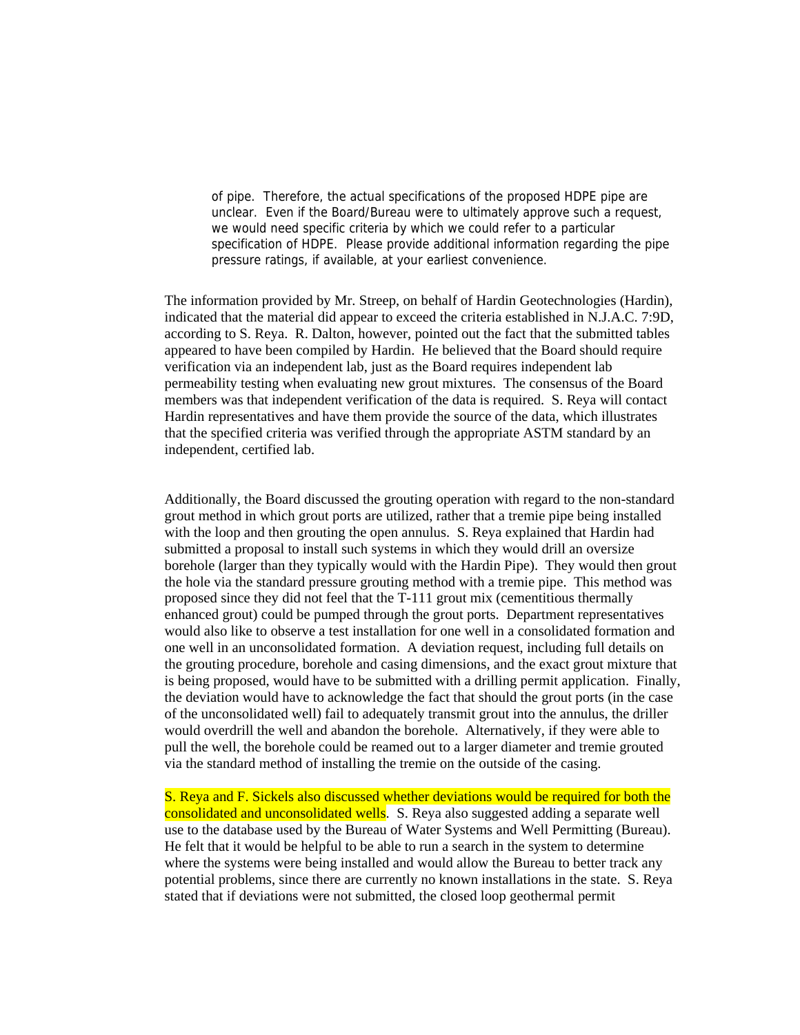of pipe. Therefore, the actual specifications of the proposed HDPE pipe are unclear. Even if the Board/Bureau were to ultimately approve such a request, we would need specific criteria by which we could refer to a particular specification of HDPE. Please provide additional information regarding the pipe pressure ratings, if available, at your earliest convenience.

The information provided by Mr. Streep, on behalf of Hardin Geotechnologies (Hardin), indicated that the material did appear to exceed the criteria established in N.J.A.C. 7:9D, according to S. Reya. R. Dalton, however, pointed out the fact that the submitted tables appeared to have been compiled by Hardin. He believed that the Board should require verification via an independent lab, just as the Board requires independent lab permeability testing when evaluating new grout mixtures. The consensus of the Board members was that independent verification of the data is required. S. Reya will contact Hardin representatives and have them provide the source of the data, which illustrates that the specified criteria was verified through the appropriate ASTM standard by an independent, certified lab.

Additionally, the Board discussed the grouting operation with regard to the non-standard grout method in which grout ports are utilized, rather that a tremie pipe being installed with the loop and then grouting the open annulus. S. Reya explained that Hardin had submitted a proposal to install such systems in which they would drill an oversize borehole (larger than they typically would with the Hardin Pipe). They would then grout the hole via the standard pressure grouting method with a tremie pipe. This method was proposed since they did not feel that the T-111 grout mix (cementitious thermally enhanced grout) could be pumped through the grout ports. Department representatives would also like to observe a test installation for one well in a consolidated formation and one well in an unconsolidated formation. A deviation request, including full details on the grouting procedure, borehole and casing dimensions, and the exact grout mixture that is being proposed, would have to be submitted with a drilling permit application. Finally, the deviation would have to acknowledge the fact that should the grout ports (in the case of the unconsolidated well) fail to adequately transmit grout into the annulus, the driller would overdrill the well and abandon the borehole. Alternatively, if they were able to pull the well, the borehole could be reamed out to a larger diameter and tremie grouted via the standard method of installing the tremie on the outside of the casing.

S. Reya and F. Sickels also discussed whether deviations would be required for both the consolidated and unconsolidated wells. S. Reya also suggested adding a separate well use to the database used by the Bureau of Water Systems and Well Permitting (Bureau). He felt that it would be helpful to be able to run a search in the system to determine where the systems were being installed and would allow the Bureau to better track any potential problems, since there are currently no known installations in the state. S. Reya stated that if deviations were not submitted, the closed loop geothermal permit